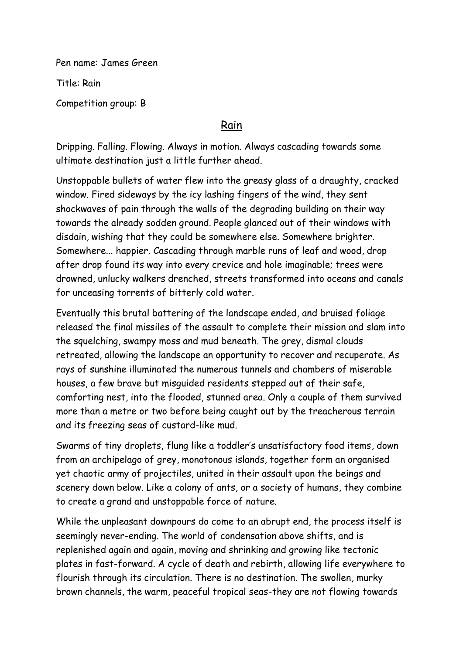Pen name: James Green

Title: Rain

Competition group: B

## Rain

Dripping. Falling. Flowing. Always in motion. Always cascading towards some ultimate destination just a little further ahead.

Unstoppable bullets of water flew into the greasy glass of a draughty, cracked window. Fired sideways by the icy lashing fingers of the wind, they sent shockwaves of pain through the walls of the degrading building on their way towards the already sodden ground. People glanced out of their windows with disdain, wishing that they could be somewhere else. Somewhere brighter. Somewhere... happier. Cascading through marble runs of leaf and wood, drop after drop found its way into every crevice and hole imaginable; trees were drowned, unlucky walkers drenched, streets transformed into oceans and canals for unceasing torrents of bitterly cold water.

Eventually this brutal battering of the landscape ended, and bruised foliage released the final missiles of the assault to complete their mission and slam into the squelching, swampy moss and mud beneath. The grey, dismal clouds retreated, allowing the landscape an opportunity to recover and recuperate. As rays of sunshine illuminated the numerous tunnels and chambers of miserable houses, a few brave but misguided residents stepped out of their safe, comforting nest, into the flooded, stunned area. Only a couple of them survived more than a metre or two before being caught out by the treacherous terrain and its freezing seas of custard-like mud.

Swarms of tiny droplets, flung like a toddler's unsatisfactory food items, down from an archipelago of grey, monotonous islands, together form an organised yet chaotic army of projectiles, united in their assault upon the beings and scenery down below. Like a colony of ants, or a society of humans, they combine to create a grand and unstoppable force of nature.

While the unpleasant downpours do come to an abrupt end, the process itself is seemingly never-ending. The world of condensation above shifts, and is replenished again and again, moving and shrinking and growing like tectonic plates in fast-forward. A cycle of death and rebirth, allowing life everywhere to flourish through its circulation. There is no destination. The swollen, murky brown channels, the warm, peaceful tropical seas-they are not flowing towards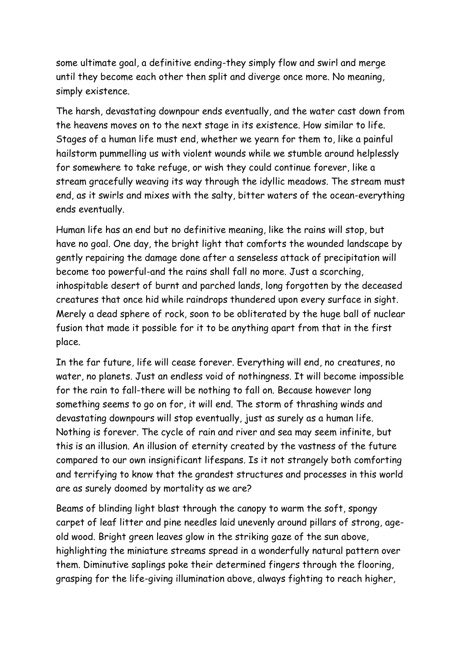some ultimate goal, a definitive ending-they simply flow and swirl and merge until they become each other then split and diverge once more. No meaning, simply existence.

The harsh, devastating downpour ends eventually, and the water cast down from the heavens moves on to the next stage in its existence. How similar to life. Stages of a human life must end, whether we yearn for them to, like a painful hailstorm pummelling us with violent wounds while we stumble around helplessly for somewhere to take refuge, or wish they could continue forever, like a stream gracefully weaving its way through the idyllic meadows. The stream must end, as it swirls and mixes with the salty, bitter waters of the ocean-everything ends eventually.

Human life has an end but no definitive meaning, like the rains will stop, but have no goal. One day, the bright light that comforts the wounded landscape by gently repairing the damage done after a senseless attack of precipitation will become too powerful-and the rains shall fall no more. Just a scorching, inhospitable desert of burnt and parched lands, long forgotten by the deceased creatures that once hid while raindrops thundered upon every surface in sight. Merely a dead sphere of rock, soon to be obliterated by the huge ball of nuclear fusion that made it possible for it to be anything apart from that in the first place.

In the far future, life will cease forever. Everything will end, no creatures, no water, no planets. Just an endless void of nothingness. It will become impossible for the rain to fall-there will be nothing to fall on. Because however long something seems to go on for, it will end. The storm of thrashing winds and devastating downpours will stop eventually, just as surely as a human life. Nothing is forever. The cycle of rain and river and sea may seem infinite, but this is an illusion. An illusion of eternity created by the vastness of the future compared to our own insignificant lifespans. Is it not strangely both comforting and terrifying to know that the grandest structures and processes in this world are as surely doomed by mortality as we are?

Beams of blinding light blast through the canopy to warm the soft, spongy carpet of leaf litter and pine needles laid unevenly around pillars of strong, ageold wood. Bright green leaves glow in the striking gaze of the sun above, highlighting the miniature streams spread in a wonderfully natural pattern over them. Diminutive saplings poke their determined fingers through the flooring, grasping for the life-giving illumination above, always fighting to reach higher,